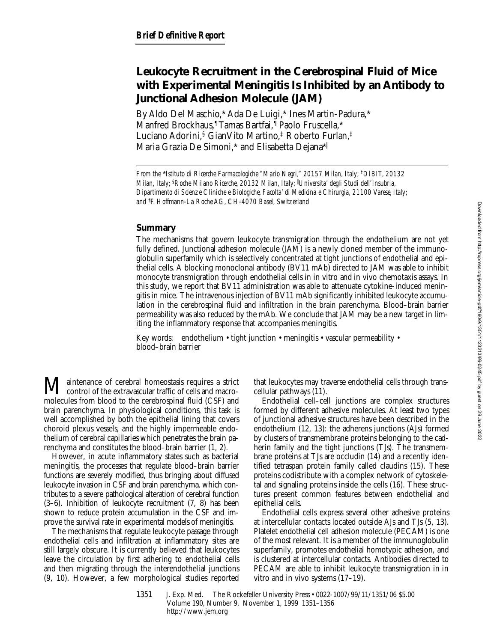# **Leukocyte Recruitment in the Cerebrospinal Fluid of Mice with Experimental Meningitis Is Inhibited by an Antibody to Junctional Adhesion Molecule (JAM)**

By Aldo Del Maschio,\* Ada De Luigi,\* Ines Martin-Padura,\* Manfred Brockhaus,¶ Tamas Bartfai,¶ Paolo Fruscella,\* Luciano Adorini,§ GianVito Martino,‡ Roberto Furlan,‡ Maria Grazia De Simoni,\* and Elisabetta Dejana\*||

*From the* \**Istituto di Ricerche Farmacologiche "Mario Negri," 20157 Milan, Italy;* ‡*DIBIT, 20132 Milan, Italy;* §*Roche Milano Ricerche, 20132 Milan, Italy;* <sup>i</sup> *Universita' degli Studi dell'Insubria, Dipartimento di Scienze Cliniche e Biologiche, Facolta' di Medicina e Chirurgia, 21100 Varese, Italy; and* ¶ *F. Hoffmann-La Roche AG, CH-4070 Basel, Switzerland*

## **Summary**

The mechanisms that govern leukocyte transmigration through the endothelium are not yet fully defined. Junctional adhesion molecule (JAM) is a newly cloned member of the immunoglobulin superfamily which is selectively concentrated at tight junctions of endothelial and epithelial cells. A blocking monoclonal antibody (BV11 mAb) directed to JAM was able to inhibit monocyte transmigration through endothelial cells in in vitro and in vivo chemotaxis assays. In this study, we report that BV11 administration was able to attenuate cytokine-induced meningitis in mice. The intravenous injection of BV11 mAb significantly inhibited leukocyte accumulation in the cerebrospinal fluid and infiltration in the brain parenchyma. Blood–brain barrier permeability was also reduced by the mAb. We conclude that JAM may be a new target in limiting the inflammatory response that accompanies meningitis.

Key words: endothelium • tight junction • meningitis • vascular permeability • blood–brain barrier

M aintenance of cerebral homeostasis requires a strict<br>control of the extravascular traffic of cells and macro-<br>molecules from blood to the experience fluid (CSE) and molecules from blood to the cerebrospinal fluid (CSF) and brain parenchyma. In physiological conditions, this task is well accomplished by both the epithelial lining that covers choroid plexus vessels, and the highly impermeable endothelium of cerebral capillaries which penetrates the brain parenchyma and constitutes the blood–brain barrier (1, 2).

However, in acute inflammatory states such as bacterial meningitis, the processes that regulate blood–brain barrier functions are severely modified, thus bringing about diffused leukocyte invasion in CSF and brain parenchyma, which contributes to a severe pathological alteration of cerebral function (3–6). Inhibition of leukocyte recruitment (7, 8) has been shown to reduce protein accumulation in the CSF and improve the survival rate in experimental models of meningitis.

The mechanisms that regulate leukocyte passage through endothelial cells and infiltration at inflammatory sites are still largely obscure. It is currently believed that leukocytes leave the circulation by first adhering to endothelial cells and then migrating through the interendothelial junctions (9, 10). However, a few morphological studies reported that leukocytes may traverse endothelial cells through transcellular pathways (11).

Endothelial cell–cell junctions are complex structures formed by different adhesive molecules. At least two types of junctional adhesive structures have been described in the endothelium (12, 13): the adherens junctions (AJs) formed by clusters of transmembrane proteins belonging to the cadherin family and the tight junctions (TJs). The transmembrane proteins at TJs are occludin (14) and a recently identified tetraspan protein family called claudins (15). These proteins codistribute with a complex network of cytoskeletal and signaling proteins inside the cells (16). These structures present common features between endothelial and epithelial cells.

Endothelial cells express several other adhesive proteins at intercellular contacts located outside AJs and TJs (5, 13). Platelet endothelial cell adhesion molecule (PECAM) is one of the most relevant. It is a member of the immunoglobulin superfamily, promotes endothelial homotypic adhesion, and is clustered at intercellular contacts. Antibodies directed to PECAM are able to inhibit leukocyte transmigration in in vitro and in vivo systems (17–19).

1351 J. Exp. Med. © The Rockefeller University Press • 0022-1007/99/11/1351/06 \$5.00 Volume 190, Number 9, November 1, 1999 1351–1356 http://www.jem.org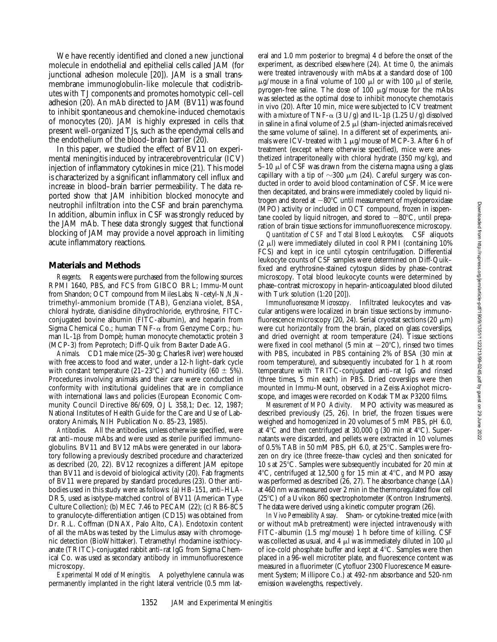We have recently identified and cloned a new junctional molecule in endothelial and epithelial cells called JAM (for junctional adhesion molecule [20]). JAM is a small transmembrane immunoglobulin-like molecule that codistributes with TJ components and promotes homotypic cell–cell adhesion (20). An mAb directed to JAM (BV11) was found to inhibit spontaneous and chemokine-induced chemotaxis of monocytes (20). JAM is highly expressed in cells that present well-organized TJs, such as the ependymal cells and the endothelium of the blood–brain barrier (20).

In this paper, we studied the effect of BV11 on experimental meningitis induced by intracerebroventricular (ICV) injection of inflammatory cytokines in mice (21). This model is characterized by a significant inflammatory cell influx and increase in blood–brain barrier permeability. The data reported show that JAM inhibition blocked monocyte and neutrophil infiltration into the CSF and brain parenchyma. In addition, albumin influx in CSF was strongly reduced by the JAM mAb. These data strongly suggest that functional blocking of JAM may provide a novel approach in limiting acute inflammatory reactions.

#### **Materials and Methods**

*Reagents.* Reagents were purchased from the following sources: RPMI 1640, PBS, and FCS from GIBCO BRL; Immu-Mount from Shandon; OCT compound from Miles Labs; *N*-cetyl-*N*,*N*,*N*trimethyl-ammonium bromide (TAB), Genziana violet, BSA, chloral hydrate, dianisidine dihydrochloride, erythrosine, FITCconjugated bovine albumin (FITC-albumin), and heparin from Sigma Chemical Co.; human TNF- $\alpha$  from Genzyme Corp.; human IL-1β from Dompè; human monocyte chemotactic protein 3 (MCP-3) from Peprotech; Diff-Quik from Baxter Dade AG.

*Animals.* CD1 male mice (25–30 g; Charles River) were housed with free access to food and water, under a 12-h light–dark cycle with constant temperature (21–23°C) and humidity (60  $\pm$  5%). Procedures involving animals and their care were conducted in conformity with institutional guidelines that are in compliance with international laws and policies (European Economic Community Council Directive 86/609, OJ L 358,1; Dec. 12, 1987; National Institutes of Health Guide for the Care and Use of Laboratory Animals, NIH Publication No. 85-23, 1985).

*Antibodies.* All the antibodies, unless otherwise specified, were rat anti–mouse mAbs and were used as sterile purified immunoglobulins. BV11 and BV12 mAbs were generated in our laboratory following a previously described procedure and characterized as described (20, 22). BV12 recognizes a different JAM epitope than BV11 and is devoid of biological activity (20). Fab fragments of BV11 were prepared by standard procedures (23). Other antibodies used in this study were as follows: (a) HB-151, anti–HLA-DR5, used as isotype-matched control of BV11 (American Type Culture Collection); (b) MEC 7.46 to PECAM (22); (c) RB6-8C5 to granulocyte-differentiation antigen (CD15) was obtained from Dr. R.L. Coffman (DNAX, Palo Alto, CA). Endotoxin content of all the mAbs was tested by the Limulus assay with chromogenic detection (BioWhittaker). Tetramethyl rhodamine isothiocyanate (TRITC)-conjugated rabbit anti–rat IgG from Sigma Chemical Co. was used as secondary antibody in immunofluorescence microscopy.

*Experimental Model of Meningitis.* A polyethylene cannula was permanently implanted in the right lateral ventricle (0.5 mm lateral and 1.0 mm posterior to bregma) 4 d before the onset of the experiment, as described elsewhere (24). At time 0, the animals were treated intravenously with mAbs at a standard dose of 100  $\mu$ g/mouse in a final volume of 100  $\mu$ l or with 100  $\mu$ l of sterile, pyrogen-free saline. The dose of  $100 \mu$ g/mouse for the mAbs was selected as the optimal dose to inhibit monocyte chemotaxis in vivo (20). After 10 min, mice were subjected to ICV treatment with a mixture of TNF- $\alpha$  (3 U/g) and IL-1 $\beta$  (1.25 U/g) dissolved in saline in a final volume of  $2.5 \mu$  (sham-injected animals received the same volume of saline). In a different set of experiments, animals were ICV-treated with 1  $\mu$ g/mouse of MCP-3. After 6 h of treatment (except where otherwise specified), mice were anesthetized intraperitoneally with chloral hydrate (350 mg/kg), and  $5-10 \mu$  of CSF was drawn from the cisterna magna using a glass capillary with a tip of  $\sim$ 300  $\mu$ m (24). Careful surgery was conducted in order to avoid blood contamination of CSF. Mice were then decapitated, and brains were immediately cooled by liquid nitrogen and stored at  $-80^{\circ}$ C until measurement of myeloperoxidase (MPO) activity or included in OCT compound, frozen in isopentane cooled by liquid nitrogen, and stored to  $-80^{\circ}$ C, until preparation of brain tissue sections for immunofluorescence microscopy.

*Quantitation of CSF and Total Blood Leukocytes.* CSF aliquots  $(2 \mu l)$  were immediately diluted in cool RPMI (containing 10%) FCS) and kept in ice until cytospin centrifugation. Differential leukocyte counts of CSF samples were determined on Diff-Quik– fixed and erythrosine-stained cytospun slides by phase–contrast microscopy. Total blood leukocyte counts were determined by phase–contrast microscopy in heparin-anticoagulated blood diluted with Turk solution (1:20 [20]).

*Immunofluorescence Microscopy.* Infiltrated leukocytes and vascular antigens were localized in brain tissue sections by immunofluorescence microscopy (20, 24). Serial cryostat sections (20  $\mu$ m) were cut horizontally from the brain, placed on glass coverslips, and dried overnight at room temperature (24). Tissue sections were fixed in cool methanol (5 min at  $-20^{\circ}$ C), rinsed two times with PBS, incubated in PBS containing 2% of BSA (30 min at room temperature), and subsequently incubated for 1 h at room temperature with TRITC-conjugated anti–rat IgG and rinsed (three times, 5 min each) in PBS. Dried coverslips were then mounted in Immu-Mount, observed in a Zeiss Axiophot microscope, and images were recorded on Kodak TMax P3200 films.

*Measurement of MPO Activity.* MPO activity was measured as described previously (25, 26). In brief, the frozen tissues were weighed and homogenized in 20 volumes of 5 mM PBS, pH 6.0, at  $4^{\circ}$ C and then centrifuged at 30,000 *g* (30 min at  $4^{\circ}$ C). Supernatants were discarded, and pellets were extracted in 10 volumes of 0.5% TAB in 50 mM PBS, pH 6.0, at  $25^{\circ}$ C. Samples were frozen on dry ice (three freeze–thaw cycles) and then sonicated for 10 s at  $25^{\circ}$ C. Samples were subsequently incubated for 20 min at  $4^{\circ}$ C, centrifuged at 12,500 g for 15 min at  $4^{\circ}$ C, and MPO assay was performed as described (26, 27). The absorbance change  $(\Delta A)$ at 460 nm was measured over 2 min in the thermoregulated flow cell  $(25^{\circ}C)$  of a Uvikon 860 spectrophotometer (Kontron Instruments). The data were derived using a kinetic computer program (26).

*In Vivo Permeability Assay.* Sham- or cytokine-treated mice (with or without mAb pretreatment) were injected intravenously with FITC-albumin (1.5 mg/mouse) 1 h before time of killing. CSF was collected as usual, and 4  $\mu$ l was immediately diluted in 100  $\mu$ l of ice-cold phosphate buffer and kept at  $4^{\circ}$ C. Samples were then placed in a 96-well microtiter plate, and fluorescence content was measured in a fluorimeter (Cytofluor 2300 Fluorescence Measurement System; Millipore Co.) at 492-nm absorbance and 520-nm emission wavelengths, respectively.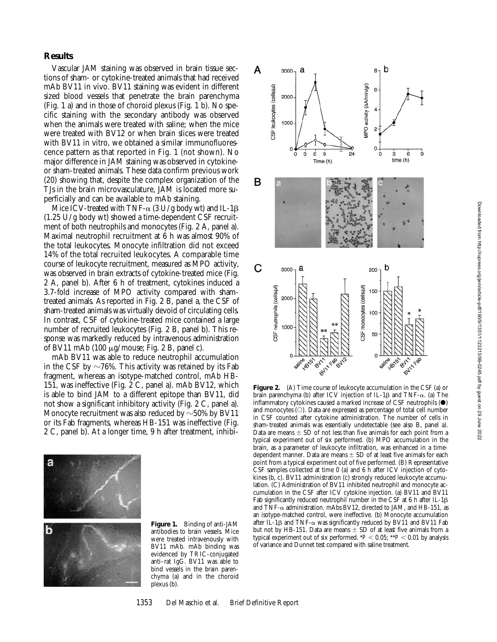### **Results**

Vascular JAM staining was observed in brain tissue sections of sham- or cytokine-treated animals that had received mAb BV11 in vivo. BV11 staining was evident in different sized blood vessels that penetrate the brain parenchyma (Fig. 1 a) and in those of choroid plexus (Fig. 1 b). No specific staining with the secondary antibody was observed when the animals were treated with saline; when the mice were treated with BV12 or when brain slices were treated with BV11 in vitro, we obtained a similar immunofluorescence pattern as that reported in Fig. 1 (not shown). No major difference in JAM staining was observed in cytokineor sham-treated animals. These data confirm previous work (20) showing that, despite the complex organization of the TJs in the brain microvasculature, JAM is located more superficially and can be available to mAb staining.

Mice ICV-treated with TNF- $\alpha$  (3 U/g body wt) and IL-1 $\beta$ (1.25 U/g body wt) showed a time-dependent CSF recruitment of both neutrophils and monocytes (Fig. 2 A, panel a). Maximal neutrophil recruitment at 6 h was almost 90% of the total leukocytes. Monocyte infiltration did not exceed 14% of the total recruited leukocytes. A comparable time course of leukocyte recruitment, measured as MPO activity, was observed in brain extracts of cytokine-treated mice (Fig. 2 A, panel b). After 6 h of treatment, cytokines induced a 3.7-fold increase of MPO activity compared with shamtreated animals. As reported in Fig. 2 B, panel a, the CSF of sham-treated animals was virtually devoid of circulating cells. In contrast, CSF of cytokine-treated mice contained a large number of recruited leukocytes (Fig. 2 B, panel b). This response was markedly reduced by intravenous administration of BV11 mAb (100  $\mu$ g/mouse; Fig. 2 B, panel c).

mAb BV11 was able to reduce neutrophil accumulation in the CSF by  $\sim$ 76%. This activity was retained by its Fab fragment, whereas an isotype-matched control, mAb HB-151, was ineffective (Fig. 2 C, panel a). mAb BV12, which is able to bind JAM to a different epitope than BV11, did not show a significant inhibitory activity (Fig. 2 C, panel a). Monocyte recruitment was also reduced by  $\sim$  50% by BV11 or its Fab fragments, whereas HB-151 was ineffective (Fig. 2 C, panel b). At a longer time, 9 h after treatment, inhibi-



**Figure 1.** Binding of anti-JAM antibodies to brain vessels. Mice were treated intravenously with BV11 mAb. mAb binding was evidenced by TRIC-conjugated anti–rat IgG. BV11 was able to bind vessels in the brain parenchyma (a) and in the choroid plexus (b).



**Figure 2.** (A) Time course of leukocyte accumulation in the CSF (a) or brain parenchyma (b) after ICV injection of IL-1 $\beta$  and TNF- $\alpha$ . (a) The inflammatory cytokines caused a marked increase of CSF neutrophils  $(\bullet)$ and monocytes  $(O)$ . Data are expressed as percentage of total cell number in CSF counted after cytokine administration. The number of cells in sham-treated animals was essentially undetectable (see also B, panel a). Data are means  $\pm$  SD of not less than five animals for each point from a typical experiment out of six performed. (b) MPO accumulation in the brain, as a parameter of leukocyte infiltration, was enhanced in a timedependent manner. Data are means  $\pm$  SD of at least five animals for each point from a typical experiment out of five performed. (B) Representative CSF samples collected at time 0 (a) and 6 h after ICV injection of cytokines (b, c). BV11 administration (c) strongly reduced leukocyte accumulation. (C) Administration of BV11 inhibited neutrophil and monocyte accumulation in the CSF after ICV cytokine injection. (a) BV11 and BV11 Fab significantly reduced neutrophil number in the CSF at  $6$  h after IL-1 $\beta$ and TNF- $\alpha$  administration. mAbs BV12, directed to JAM, and HB-151, as an isotype-matched control, were ineffective. (b) Monocyte accumulation after IL-1 $\beta$  and TNF- $\alpha$  was significantly reduced by BV11 and BV11 Fab but not by HB-151. Data are means  $\pm$  SD of at least five animals from a typical experiment out of six performed.  $*P < 0.05$ ;  $*P < 0.01$  by analysis of variance and Dunnet test compared with saline treatment.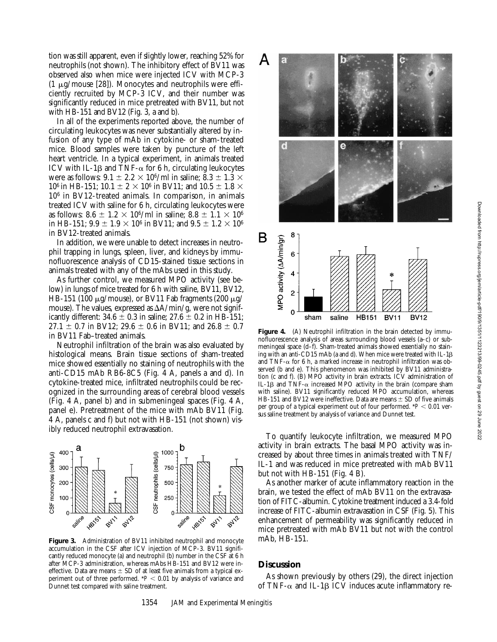tion was still apparent, even if slightly lower, reaching 52% for neutrophils (not shown). The inhibitory effect of BV11 was observed also when mice were injected ICV with MCP-3 (1  $\mu$ g/mouse [28]). Monocytes and neutrophils were efficiently recruited by MCP-3 ICV, and their number was significantly reduced in mice pretreated with BV11, but not with HB-151 and BV12 (Fig. 3, a and b).

In all of the experiments reported above, the number of circulating leukocytes was never substantially altered by infusion of any type of mAb in cytokine- or sham-treated mice. Blood samples were taken by puncture of the left heart ventricle. In a typical experiment, in animals treated ICV with IL-1 $\beta$  and TNF- $\alpha$  for 6 h, circulating leukocytes were as follows:  $9.1 \pm 2.2 \times 10^6$ /ml in saline;  $8.3 \pm 1.3 \times$ 10<sup>6</sup> in HB-151; 10.1  $\pm$  2  $\times$  10<sup>6</sup> in BV11; and 10.5  $\pm$  1.8  $\times$ 106 in BV12-treated animals. In comparison, in animals treated ICV with saline for 6 h, circulating leukocytes were as follows: 8.6  $\pm$  1.2  $\times$  10<sup>6</sup>/ml in saline; 8.8  $\pm$  1.1  $\times$  10<sup>6</sup> in HB-151;  $9.9 \pm 1.9 \times 10^6$  in BV11; and  $9.5 \pm 1.2 \times 10^6$ in BV12-treated animals.

In addition, we were unable to detect increases in neutrophil trapping in lungs, spleen, liver, and kidneys by immunofluorescence analysis of CD15-stained tissue sections in animals treated with any of the mAbs used in this study.

As further control, we measured MPO activity (see below) in lungs of mice treated for 6 h with saline, BV11, BV12, HB-151 (100  $\mu$ g/mouse), or BV11 Fab fragments (200  $\mu$ g/ mouse). The values, expressed as  $\Delta A/min/g$ , were not significantly different:  $34.6 \pm 0.3$  in saline;  $27.6 \pm 0.2$  in HB-151; 27.1  $\pm$  0.7 in BV12; 29.6  $\pm$  0.6 in BV11; and 26.8  $\pm$  0.7 in BV11 Fab–treated animals.

Neutrophil infiltration of the brain was also evaluated by histological means. Brain tissue sections of sham-treated mice showed essentially no staining of neutrophils with the anti-CD15 mAb RB6-8C5 (Fig. 4 A, panels a and d). In cytokine-treated mice, infiltrated neutrophils could be recognized in the surrounding areas of cerebral blood vessels (Fig. 4 A, panel b) and in submeningeal spaces (Fig. 4 A, panel e). Pretreatment of the mice with mAb BV11 (Fig. 4 A, panels c and f) but not with HB-151 (not shown) visibly reduced neutrophil extravasation. To quantify leukocyte infiltration, we measured MPO



**Figure 3.** Administration of BV11 inhibited neutrophil and monocyte accumulation in the CSF after ICV injection of MCP-3. BV11 significantly reduced monocyte (a) and neutrophil (b) number in the CSF at 6 h after MCP-3 administration, whereas mAbs HB-151 and BV12 were ineffective. Data are means  $\pm$  SD of at least five animals from a typical experiment out of three performed.  $*P < 0.01$  by analysis of variance and Dunnet test compared with saline treatment.





**Figure 4.** (A) Neutrophil infiltration in the brain detected by immunofluorescence analysis of areas surrounding blood vessels (a–c) or submeningeal space (d–f). Sham-treated animals showed essentially no staining with an anti-CD15 mAb (a and d). When mice were treated with  $IL-1\beta$ and TNF- $\alpha$  for 6 h, a marked increase in neutrophil infiltration was observed (b and e). This phenomenon was inhibited by BV11 administration (c and f). (B) MPO activity in brain extracts. ICV administration of IL-1 $\beta$  and TNF- $\alpha$  increased MPO activity in the brain (compare sham with saline). BV11 significantly reduced MPO accumulation, whereas HB-151 and BV12 were ineffective. Data are means  $\pm$  SD of five animals per group of a typical experiment out of four performed.  $*P < 0.01$  versus saline treatment by analysis of variance and Dunnet test.

activity in brain extracts. The basal MPO activity was increased by about three times in animals treated with TNF/ IL-1 and was reduced in mice pretreated with mAb BV11 but not with HB-151 (Fig. 4 B).

As another marker of acute inflammatory reaction in the brain, we tested the effect of mAb BV11 on the extravasation of FITC-albumin. Cytokine treatment induced a 3.4-fold increase of FITC-albumin extravasation in CSF (Fig. 5). This enhancement of permeability was significantly reduced in mice pretreated with mAb BV11 but not with the control mAb, HB-151.

#### **Discussion**

As shown previously by others (29), the direct injection of TNF- $\alpha$  and IL-1 $\beta$  ICV induces acute inflammatory re-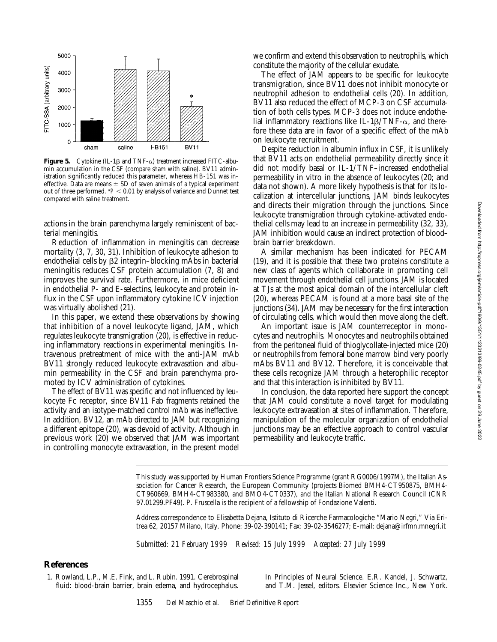

**Figure 5.** Cytokine (IL-1 $\beta$  and TNF- $\alpha$ ) treatment increased FITC-albumin accumulation in the CSF (compare sham with saline). BV11 administration significantly reduced this parameter, whereas HB-151 was ineffective. Data are means  $\pm$  SD of seven animals of a typical experiment out of three performed.  $*P < 0.01$  by analysis of variance and Dunnet test compared with saline treatment.

actions in the brain parenchyma largely reminiscent of bacterial meningitis.

Reduction of inflammation in meningitis can decrease mortality (3, 7, 30, 31). Inhibition of leukocyte adhesion to endothelial cells by  $\beta$ 2 integrin–blocking mAbs in bacterial meningitis reduces CSF protein accumulation (7, 8) and improves the survival rate. Furthermore, in mice deficient in endothelial P- and E-selectins, leukocyte and protein influx in the CSF upon inflammatory cytokine ICV injection was virtually abolished (21).

In this paper, we extend these observations by showing that inhibition of a novel leukocyte ligand, JAM, which regulates leukocyte transmigration (20), is effective in reducing inflammatory reactions in experimental meningitis. Intravenous pretreatment of mice with the anti-JAM mAb BV11 strongly reduced leukocyte extravasation and albumin permeability in the CSF and brain parenchyma promoted by ICV administration of cytokines.

The effect of BV11 was specific and not influenced by leukocyte Fc receptor, since BV11 Fab fragments retained the activity and an isotype-matched control mAb was ineffective. In addition, BV12, an mAb directed to JAM but recognizing a different epitope (20), was devoid of activity. Although in previous work (20) we observed that JAM was important in controlling monocyte extravasation, in the present model

we confirm and extend this observation to neutrophils, which constitute the majority of the cellular exudate.

The effect of JAM appears to be specific for leukocyte transmigration, since  $\overline{BV}11$  does not inhibit monocyte or neutrophil adhesion to endothelial cells (20). In addition, BV11 also reduced the effect of MCP-3 on CSF accumulation of both cells types. MCP-3 does not induce endothelial inflammatory reactions like IL-1 $\beta$ /TNF- $\alpha$ , and therefore these data are in favor of a specific effect of the mAb on leukocyte recruitment.

Despite reduction in albumin influx in CSF, it is unlikely that BV11 acts on endothelial permeability directly since it did not modify basal or IL-1/TNF–increased endothelial permeability in vitro in the absence of leukocytes (20; and data not shown). A more likely hypothesis is that for its localization at intercellular junctions, JAM binds leukocytes and directs their migration through the junctions. Since leukocyte transmigration through cytokine-activated endothelial cells may lead to an increase in permeability (32, 33), JAM inhibition would cause an indirect protection of blood– brain barrier breakdown.

A similar mechanism has been indicated for PECAM (19), and it is possible that these two proteins constitute a new class of agents which collaborate in promoting cell movement through endothelial cell junctions. JAM is located at TJs at the most apical domain of the intercellular cleft (20), whereas PECAM is found at a more basal site of the junctions (34). JAM may be necessary for the first interaction of circulating cells, which would then move along the cleft.

An important issue is JAM counterreceptor in monocytes and neutrophils. Monocytes and neutrophils obtained from the peritoneal fluid of thioglycollate-injected mice (20) or neutrophils from femoral bone marrow bind very poorly mAbs BV11 and BV12. Therefore, it is conceivable that these cells recognize JAM through a heterophilic receptor and that this interaction is inhibited by BV11.

In conclusion, the data reported here support the concept that JAM could constitute a novel target for modulating leukocyte extravasation at sites of inflammation. Therefore, manipulation of the molecular organization of endothelial junctions may be an effective approach to control vascular permeability and leukocyte traffic.

This study was supported by Human Frontiers Science Programme (grant RG0006/1997M), the Italian Association for Cancer Research, the European Community (projects Biomed BMH4-CT950875, BMH4- CT960669, BMH4-CT983380, and BMO4-CT0337), and the Italian National Research Council (CNR 97.01299.PF49). P. Fruscella is the recipient of a fellowship of Fondazione Valenti.

Address correspondence to Elisabetta Dejana, Istituto di Ricerche Farmacologiche "Mario Negri," Via Eritrea 62, 20157 Milano, Italy. Phone: 39-02-390141; Fax: 39-02-3546277; E-mail: dejana@irfmn.mnegri.it

*Submitted: 21 February 1999 Revised: 15 July 1999 Accepted: 27 July 1999*

#### **References**

1. Rowland, L.P., M.E. Fink, and L. Rubin. 1991. Cerebrospinal fluid: blood-brain barrier, brain edema, and hydrocephalus.

*In* Principles of Neural Science. E.R. Kandel, J. Schwartz, and T.M. Jessel, editors. Elsevier Science Inc., New York.